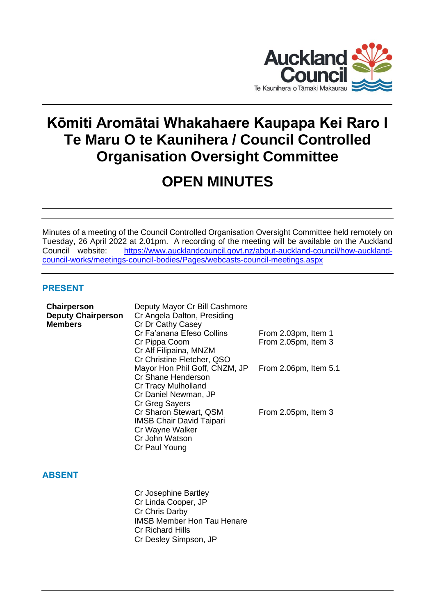

# **Kōmiti Aromātai Whakahaere Kaupapa Kei Raro I Te Maru O te Kaunihera / Council Controlled Organisation Oversight Committee**

## **OPEN MINUTES**

Minutes of a meeting of the Council Controlled Organisation Oversight Committee held remotely on Tuesday, 26 April 2022 at 2.01pm. A recording of the meeting will be available on the Auckland Council website: [https://www.aucklandcouncil.govt.nz/about-auckland-council/how-auckland](https://www.aucklandcouncil.govt.nz/about-auckland-council/how-auckland-council-works/meetings-council-bodies/Pages/webcasts-council-meetings.aspx)[council-works/meetings-council-bodies/Pages/webcasts-council-meetings.aspx](https://www.aucklandcouncil.govt.nz/about-auckland-council/how-auckland-council-works/meetings-council-bodies/Pages/webcasts-council-meetings.aspx)

## **PRESENT**

| Chairperson<br><b>Deputy Chairperson</b><br><b>Members</b> | Deputy Mayor Cr Bill Cashmore<br>Cr Angela Dalton, Presiding<br>Cr Dr Cathy Casey<br>Cr Fa'anana Efeso Collins<br>Cr Pippa Coom<br>Cr Alf Filipaina, MNZM<br>Cr Christine Fletcher, QSO | From 2.03pm, Item 1<br>From 2.05pm, Item 3 |
|------------------------------------------------------------|-----------------------------------------------------------------------------------------------------------------------------------------------------------------------------------------|--------------------------------------------|
|                                                            | Mayor Hon Phil Goff, CNZM, JP<br>Cr Shane Henderson<br>Cr Tracy Mulholland<br>Cr Daniel Newman, JP<br>Cr Greg Sayers                                                                    | From 2.06pm, Item 5.1                      |
|                                                            | Cr Sharon Stewart, QSM<br><b>IMSB Chair David Taipari</b><br>Cr Wayne Walker<br>Cr John Watson<br>Cr Paul Young                                                                         | From 2.05pm, Item 3                        |
| <b>ABSENT</b>                                              |                                                                                                                                                                                         |                                            |
|                                                            | Cr Josephine Bartley<br>Cr Linda Cooper, JP<br>Cr Chris Darby<br><b>IMSB Member Hon Tau Henare</b><br><b>Cr Richard Hills</b><br>Cr Desley Simpson, JP                                  |                                            |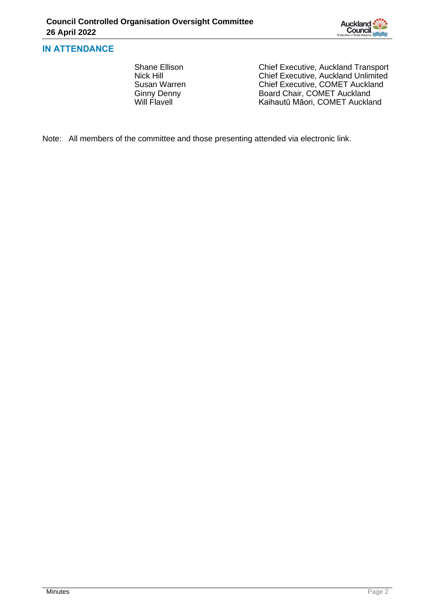

## **IN ATTENDANCE**

Shane Ellison Chief Executive, Auckland Transport<br>Nick Hill Chief Executive, Auckland Unlimited Nick Hill<br>
Susan Warren 
Chief Executive, Auckland Unlimited<br>
Chief Executive, COMET Auckland Susan Warren Chief Executive, COMET Auckland<br>Ginny Denny Chief Executive, COMET Auckland Ginny Denny **Board Chair, COMET Auckland**<br>
Will Flavell **Board Chair, COMET Auckland** Kaihautū Māori, COMET Auckland

Note: All members of the committee and those presenting attended via electronic link.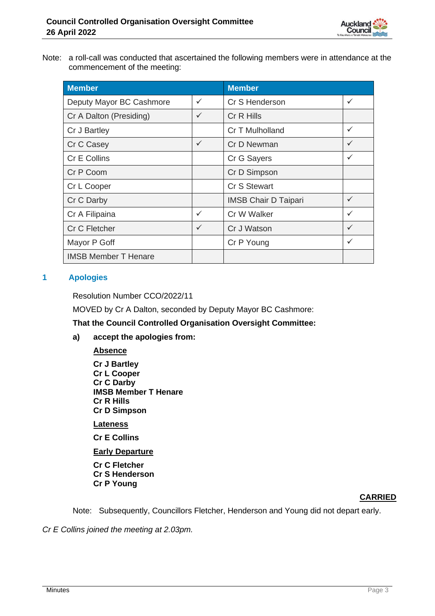

Note: a roll-call was conducted that ascertained the following members were in attendance at the commencement of the meeting:

| <b>Member</b>               |              | <b>Member</b>               |              |
|-----------------------------|--------------|-----------------------------|--------------|
| Deputy Mayor BC Cashmore    | ✓            | Cr S Henderson              | $\checkmark$ |
| Cr A Dalton (Presiding)     | $\checkmark$ | Cr R Hills                  |              |
| Cr J Bartley                |              | Cr T Mulholland             | $\checkmark$ |
| Cr C Casey                  | $\checkmark$ | Cr D Newman                 | $\checkmark$ |
| Cr E Collins                |              | Cr G Sayers                 | $\checkmark$ |
| Cr P Coom                   |              | Cr D Simpson                |              |
| Cr L Cooper                 |              | Cr S Stewart                |              |
| Cr C Darby                  |              | <b>IMSB Chair D Taipari</b> | $\checkmark$ |
| Cr A Filipaina              | ✓            | Cr W Walker                 | $\checkmark$ |
| Cr C Fletcher               | $\checkmark$ | Cr J Watson                 | $\checkmark$ |
| Mayor P Goff                |              | Cr P Young                  | $\checkmark$ |
| <b>IMSB Member T Henare</b> |              |                             |              |

## **1 Apologies**

Resolution Number CCO/2022/11

MOVED by Cr A Dalton, seconded by Deputy Mayor BC Cashmore:

**That the Council Controlled Organisation Oversight Committee:**

**a) accept the apologies from:**

**Absence Cr J Bartley Cr L Cooper Cr C Darby IMSB Member T Henare Cr R Hills Cr D Simpson**

**Lateness**

**Cr E Collins**

**Early Departure**

**Cr C Fletcher Cr S Henderson Cr P Young**

## **CARRIED**

Note: Subsequently, Councillors Fletcher, Henderson and Young did not depart early.

*Cr E Collins joined the meeting at 2.03pm.*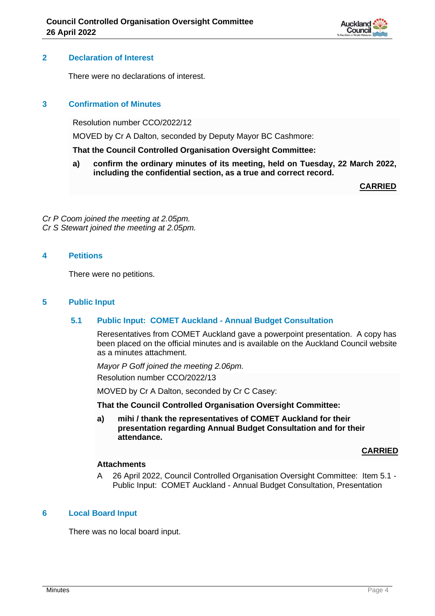

## **2 Declaration of Interest**

There were no declarations of interest.

## **3 Confirmation of Minutes**

Resolution number CCO/2022/12

MOVED by Cr A Dalton, seconded by Deputy Mayor BC Cashmore:

#### **That the Council Controlled Organisation Oversight Committee:**

**a) confirm the ordinary minutes of its meeting, held on Tuesday, 22 March 2022, including the confidential section, as a true and correct record.**

**CARRIED**

*Cr P Coom joined the meeting at 2.05pm. Cr S Stewart joined the meeting at 2.05pm.*

## **4 Petitions**

There were no petitions.

#### **5 Public Input**

#### **5.1 Public Input: COMET Auckland - Annual Budget Consultation**

Reresentatives from COMET Auckland gave a powerpoint presentation. A copy has been placed on the official minutes and is available on the Auckland Council website as a minutes attachment.

*Mayor P Goff joined the meeting 2.06pm.* Resolution number CCO/2022/13

MOVED by Cr A Dalton, seconded by Cr C Casey:

#### **That the Council Controlled Organisation Oversight Committee:**

**a) mihi / thank the representatives of COMET Auckland for their presentation regarding Annual Budget Consultation and for their attendance.**

#### **CARRIED**

#### **Attachments**

A 26 April 2022, Council Controlled Organisation Oversight Committee: Item 5.1 - Public Input: COMET Auckland - Annual Budget Consultation, Presentation

## **6 Local Board Input**

There was no local board input.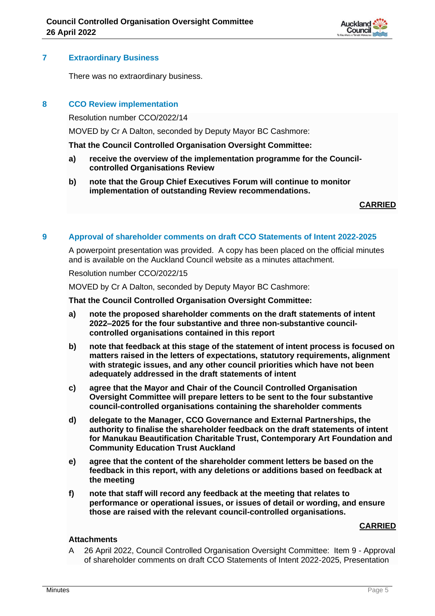

## **7 Extraordinary Business**

There was no extraordinary business.

## **8 CCO Review implementation**

Resolution number CCO/2022/14

MOVED by Cr A Dalton, seconded by Deputy Mayor BC Cashmore:

#### **That the Council Controlled Organisation Oversight Committee:**

- **a) receive the overview of the implementation programme for the Councilcontrolled Organisations Review**
- **b) note that the Group Chief Executives Forum will continue to monitor implementation of outstanding Review recommendations.**

**CARRIED**

## **9 Approval of shareholder comments on draft CCO Statements of Intent 2022-2025**

A powerpoint presentation was provided. A copy has been placed on the official minutes and is available on the Auckland Council website as a minutes attachment.

#### Resolution number CCO/2022/15

MOVED by Cr A Dalton, seconded by Deputy Mayor BC Cashmore:

#### **That the Council Controlled Organisation Oversight Committee:**

- **a) note the proposed shareholder comments on the draft statements of intent 2022–2025 for the four substantive and three non-substantive councilcontrolled organisations contained in this report**
- **b) note that feedback at this stage of the statement of intent process is focused on matters raised in the letters of expectations, statutory requirements, alignment with strategic issues, and any other council priorities which have not been adequately addressed in the draft statements of intent**
- **c) agree that the Mayor and Chair of the Council Controlled Organisation Oversight Committee will prepare letters to be sent to the four substantive council-controlled organisations containing the shareholder comments**
- **d) delegate to the Manager, CCO Governance and External Partnerships, the authority to finalise the shareholder feedback on the draft statements of intent for Manukau Beautification Charitable Trust, Contemporary Art Foundation and Community Education Trust Auckland**
- **e) agree that the content of the shareholder comment letters be based on the feedback in this report, with any deletions or additions based on feedback at the meeting**
- **f) note that staff will record any feedback at the meeting that relates to performance or operational issues, or issues of detail or wording, and ensure those are raised with the relevant council-controlled organisations.**

#### **CARRIED**

## **Attachments**

A 26 April 2022, Council Controlled Organisation Oversight Committee: Item 9 - Approval of shareholder comments on draft CCO Statements of Intent 2022-2025, Presentation